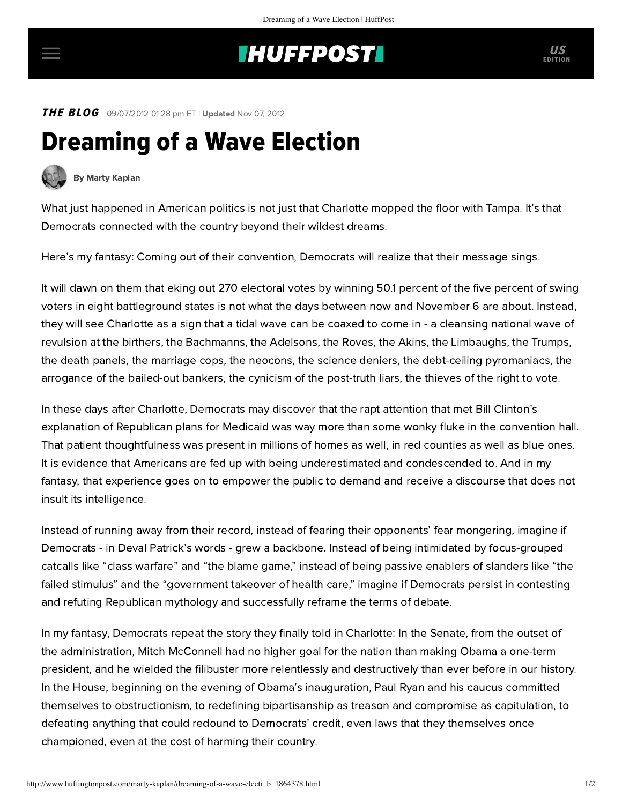## **INUFFPOST**

THE BLOG 09/07/2012 01:28 pm ET | Updated Nov 07, 2012

## Dreaming of a Wave Election



[By Marty Kaplan](http://www.huffingtonpost.com/author/marty-kaplan)

What just happened in American politics is not just that Charlotte mopped the floor with Tampa. It's that Democrats connected with the country beyond their wildest dreams.

Here's my fantasy: Coming out of their convention, Democrats will realize that their message sings.

It will dawn on them that eking out 270 electoral votes by winning 50.1 percent of the five percent of swing voters in eight battleground states is not what the days between now and November 6 are about. Instead, they will see Charlotte as a sign that a tidal wave can be coaxed to come in - a cleansing national wave of revulsion at the birthers, the Bachmanns, the Adelsons, the Roves, the Akins, the Limbaughs, the Trumps, the death panels, the marriage cops, the neocons, the science deniers, the debt-ceiling pyromaniacs, the arrogance of the bailed-out bankers, the cynicism of the post-truth liars, the thieves of the right to vote.

In these days after Charlotte, Democrats may discover that the rapt attention that met Bill Clinton's [explanation](http://thinkprogress.org/health/2012/09/06/804711/bill-clinton-on-how-romney-and-ryan-decimate-medicaid/) of Republican plans for Medicaid was way more than some wonky fluke in the convention hall. That patient thoughtfulness was present in millions of homes as well, in red counties as well as blue ones. It is evidence that Americans are fed up with being underestimated and condescended to. And in my fantasy, that experience goes on to empower the public to demand and receive a discourse that does not insult its intelligence.

Instead of running away from their record, instead of fearing their opponents' fear mongering, imagine if Democrats - in [Deval Patrick's words](http://thinkprogress.org/politics/2012/09/04/796011/deval-patrick-dnc-backbone/) - grew a backbone. Instead of being intimidated by focus-grouped catcalls like "class warfare" and "the blame game," instead of being passive enablers of slanders like "the failed stimulus" and the "government takeover of health care," imagine if Democrats persist in contesting and refuting Republican mythology and successfully reframe the terms of debate.

In my fantasy, Democrats repeat the story they finally told in Charlotte: In the Senate, from the outset of the administration, [Mitch McConnell](http://thinkprogress.org/politics/2010/10/25/126242/mcconnell-obama-one-term/) had no higher goal for the nation than making Obama a one-term president, and he wielded the [filibuster](http://www.dailykos.com/story/2012/05/08/1089807/-Republican-s-filibuster-addiction-continues-unabated) more relentlessly and destructively than ever before in our history. In the House, beginning on the evening of Obama's inauguration, Paul Ryan and his caucus committed [themselves to obstructionism, to redefining bipartisanship as treason and compromise as capitulation, t](http://www.huffingtonpost.com/2012/04/25/robert-draper-anti-obama-campaign_n_1452899.html)o defeating anything that could redound to Democrats' credit, even laws that they themselves once championed, even at the cost of harming their country.